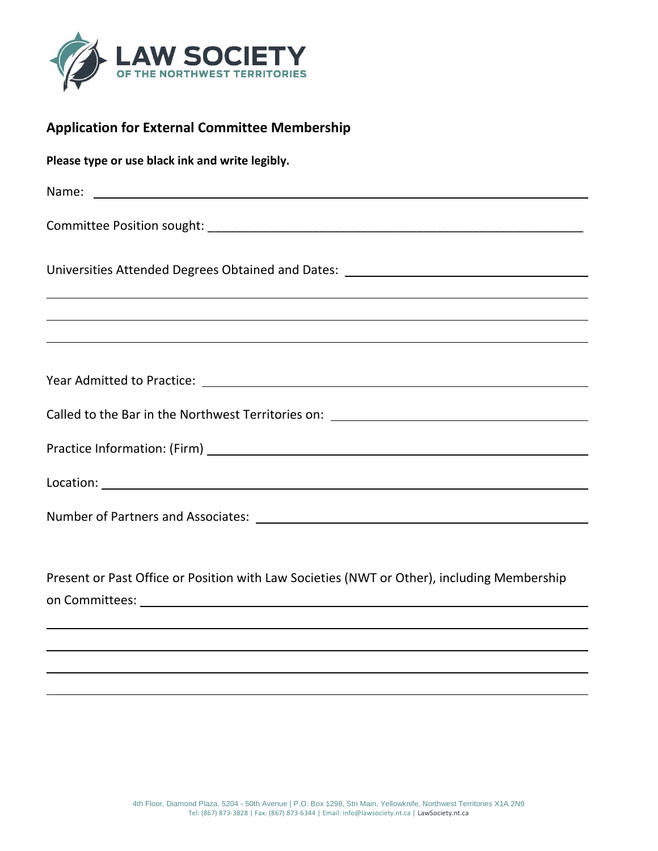

## **Application for External Committee Membership**

**Please type or use black ink and write legibly.**

| Universities Attended Degrees Obtained and Dates: ______________________________                                                                      |
|-------------------------------------------------------------------------------------------------------------------------------------------------------|
| ,我们也不会有什么。""我们的人,我们也不会有什么?""我们的人,我们也不会有什么?""我们的人,我们也不会有什么?""我们的人,我们也不会有什么?""我们的人                                                                      |
| <u> 1989 - Jan Samuel Barbara, margaret a shekara 1980 - Shekara ta 1980 - Shekara ta 1980 - Shekara ta 1980 - Sh</u>                                 |
|                                                                                                                                                       |
| Called to the Bar in the Northwest Territories on: \\equimeanable called to the Bar in the Northwest Territories on: \\equimeanable called to the Bar |
|                                                                                                                                                       |
|                                                                                                                                                       |
|                                                                                                                                                       |
|                                                                                                                                                       |

Present or Past Office or Position with Law Societies (NWT or Other), including Membership on Committees: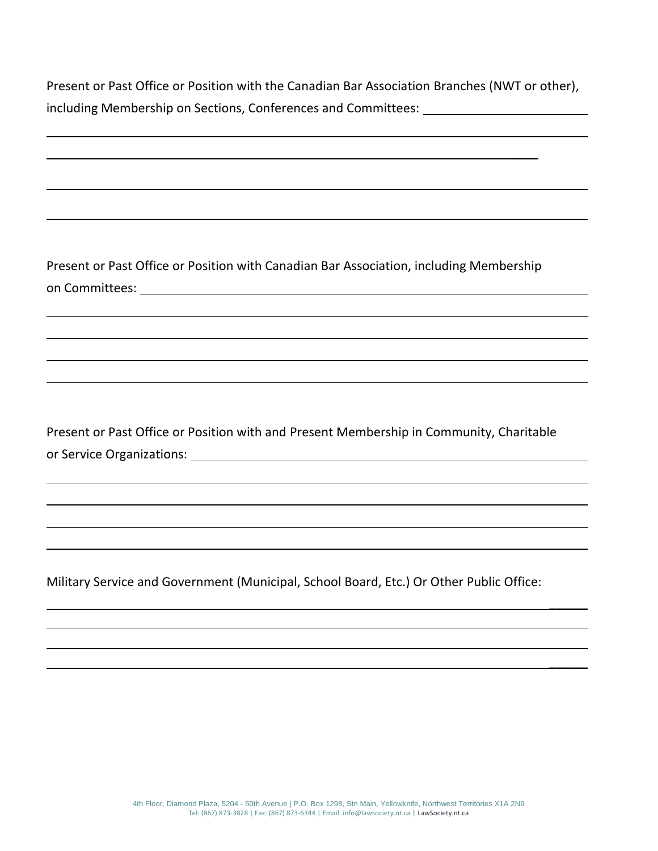Present or Past Office or Position with the Canadian Bar Association Branches (NWT or other), including Membership on Sections, Conferences and Committees:

 $\overline{\phantom{a}}$ 

 $\frac{1}{2}$ 

 $\frac{1}{2}$ 

Present or Past Office or Position with Canadian Bar Association, including Membership on Committees:

Present or Past Office or Position with and Present Membership in Community, Charitable or Service Organizations:

Military Service and Government (Municipal, School Board, Etc.) Or Other Public Office: